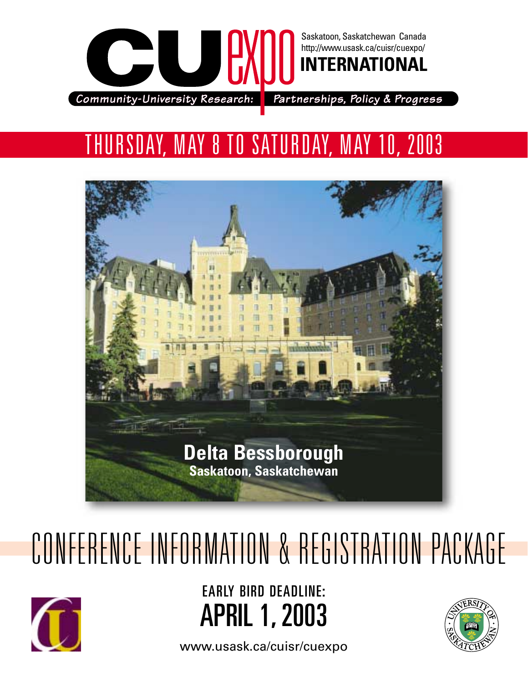

## THURSDAY, MAY 8 TO SATURDAY, MAY 10, 2003



# CONFERENCE INFORMATION & REGISTRATION PACKAGE



EARLY BIRD DEADLINE: APRIL 1, 2003



[www.usask.ca/cuisr/cuexpo](http://www.usask.ca/cuisr/cuexpo/index.html)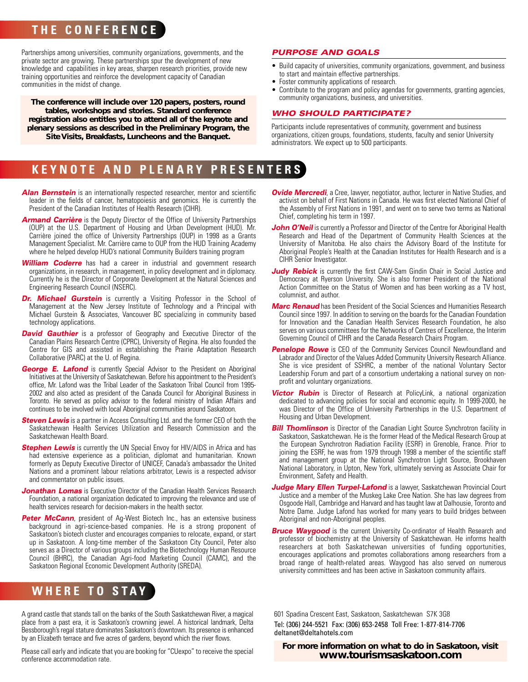## **THE CONFERENCE**

Partnerships among universities, community organizations, governments, and the private sector are growing. These partnerships spur the development of new knowledge and capabilities in key areas, sharpen research priorities, provide new training opportunities and reinforce the development capacity of Canadian communities in the midst of change.

*The conference will include over 120 papers, posters, round tables, workshops and stories. Standard conference registration also entitles you to attend all of the keynote and plenary sessions as described in the Preliminary Program, the Site Visits, Breakfasts, Luncheons and the Banquet.*

## **KEYNOTE AND PLENARY PRESENTERS**

- **Alan Bernstein** is an internationally respected researcher, mentor and scientific leader in the fields of cancer, hematopoiesis and genomics. He is currently the President of the Canadian Institutes of Health Research (CIHR).
- **Armand Carrière** is the Deputy Director of the Office of University Partnerships (OUP) at the U.S. Department of Housing and Urban Development (HUD). Mr. Carrière joined the office of University Partnerships (OUP) in 1998 as a Grants Management Specialist. Mr. Carrière came to OUP from the HUD Training Academy where he helped develop HUD's national Community Builders training program
- **William Coderre** has had a career in industrial and government research organizations, in research, in management, in policy development and in diplomacy. Currently he is the Director of Corporate Development at the Natural Sciences and Engineering Research Council (NSERC).
- **Dr. Michael Gurstein** is currently a Visiting Professor in the School of Management at the New Jersey Institute of Technology and a Principal with Michael Gurstein & Associates, Vancouver BC specializing in community based technology applications.
- **David Gauthier** is a professor of Geography and Executive Director of the Canadian Plains Research Centre (CPRC), University of Regina. He also founded the Centre for GIS and assisted in establishing the Prairie Adaptation Research Collaborative (PARC) at the U. of Regina.
- **George E. Lafond** is currently Special Advisor to the President on Aboriginal Initiatives at the University of Saskatchewan. Before his appointment to the President's office, Mr. Lafond was the Tribal Leader of the Saskatoon Tribal Council from 1995- 2002 and also acted as president of the Canada Council for Aboriginal Business in [Toronto. He served as policy advisor to the federal ministry of Indian Affairs and](http://www.usask.ca/cuisr/cuexpo/CUExpo_speaker_bios.pdf) continues to be involved with local Aboriginal communities around Saskatoon.
- **Steven Lewis** is a partner in Access Consulting Ltd. and the former CEO of both the Saskatchewan Health Services Utilization and Research Commission and the Saskatchewan Health Board.
- **Stephen Lewis** is currently the UN Special Envoy for HIV/AIDS in Africa and has had extensive experience as a politician, diplomat and humanitarian. Known formerly as Deputy Executive Director of UNICEF, Canada's ambassador the United Nations and a prominent labour relations arbitrator, Lewis is a respected advisor and commentator on public issues.
- **Jonathan Lomas** is Executive Director of the Canadian Health Services Research Foundation, a national organization dedicated to improving the relevance and use of health services research for decision-makers in the health sector.
- **Peter McCann**, president of Aq-West Biotech Inc., has an extensive business background in agri-science-based companies. He is a strong proponent of Saskatoon's biotech cluster and encourages companies to relocate, expand, or start up in Saskatoon. A long-time member of the Saskatoon City Council, Peter also serves as a Director of various groups including the Biotechnology Human Resource Council (BHRC), the Canadian Agri-food Marketing Council (CAMC), and the Saskatoon Regional Economic Development Authority (SREDA).

## **WHERE TO STAY**

A grand castle that stands tall on the banks of the South Saskatchewan River, a magical place from a past era, it is Saskatoon's crowning jewel. A historical landmark, Delta Bessborough's regal stature dominates Saskatoon's downtown. Its presence is enhanced by an Elizabeth terrace and five acres of gardens, beyond which the river flows.

Please call early and indicate that you are booking for "CUexpo" to receive the special conference accommodation rate.

#### *PURPOSE AND GOALS*

- Build capacity of universities, community organizations, government, and business to start and maintain effective partnerships.
- Foster community applications of research.
- Contribute to the program and policy agendas for governments, granting agencies, community organizations, business, and universities.

#### *WHO SHOULD PARTICIPATE?*

Participants include representatives of community, government and business organizations, citizen groups, foundations, students, faculty and senior University administrators. We expect up to 500 participants.

- **Ovide Mercredi**, a Cree, lawyer, negotiator, author, lecturer in Native Studies, and activist on behalf of First Nations in Canada. He was first elected National Chief of the Assembly of First Nations in 1991, and went on to serve two terms as National Chief, completing his term in 1997.
- **John O'Neil** is currently a Professor and Director of the Centre for Aboriginal Health Research and Head of the Department of Community Health Sciences at the University of Manitoba. He also chairs the Advisory Board of the Institute for Aboriginal People's Health at the Canadian Institutes for Health Research and is a CIHR Senior Investigator.
- **Judy Rebick** is currently the first CAW-Sam Gindin Chair in Social Justice and Democracy at Ryerson University. She is also former President of the National Action Committee on the Status of Women and has been working as a TV host, columnist, and author.
- *Marc Renaud* has been President of the Social Sciences and Humanities Research Council since 1997. In addition to serving on the boards for the Canadian Foundation for Innovation and the Canadian Health Services Research Foundation, he also serves on various committees for the Networks of Centres of Excellence, the Interim Governing Council of CIHR and the Canada Research Chairs Program.
- **Penelope Rowe** is CEO of the Community Services Council Newfoundland and Labrador and Director of the Values Added Community University Research Alliance. She is vice president of SSHRC, a member of the national Voluntary Sector Leadership Forum and part of a consortium undertaking a national survey on nonprofit and voluntary organizations.
- **Victor Rubin** is Director of Research at PolicyLink, a national organization dedicated to advancing policies for social and economic equity. In 1999-2000, he was Director of the Office of University Partnerships in the U.S. Department of Housing and Urban Development.
- **Bill Thomlinson** is Director of the Canadian Light Source Synchrotron facility in Saskatoon, Saskatchewan. He is the former Head of the Medical Research Group at the European Synchrotron Radiation Facility (ESRF) in Grenoble, France. Prior to joining the ESRF, he was from 1979 through 1998 a member of the scientific staff and management group at the National Synchrotron Light Source, Brookhaven National Laboratory, in Upton, New York, ultimately serving as Associate Chair for Environment, Safety and Health.
- **Judge Mary Ellen Turpel-Lafond** is a lawyer, Saskatchewan Provincial Court Justice and a member of the Muskeg Lake Cree Nation. She has law degrees from Osgoode Hall, Cambridge and Harvard and has taught law at Dalhousie, Toronto and Notre Dame. Judge Lafond has worked for many years to build bridges between Aboriginal and non-Aboriginal peoples.
- **Bruce Waygood** is the current University Co-ordinator of Health Research and professor of biochemistry at the University of Saskatchewan. He informs health researchers at both Saskatchewan universities of funding opportunities, encourages applications and promotes collaborations among researchers from a broad range of health-related areas. Waygood has also served on numerous university committees and has been active in Saskatoon community affairs.

601 Spadina Crescent East, Saskatoon, Saskatchewan S7K 3G8 Tel: (306) 244-5521 Fax: (306) 653-2458 Toll Free: 1-877-814-7706 [deltanet@deltahotels.com](mailto:deltanet@hdeltahotels.com)

*For more information on what to do in Saskatoon, visit [www.tourismsaskatoon.com](http://tourismsaskatoon.com)*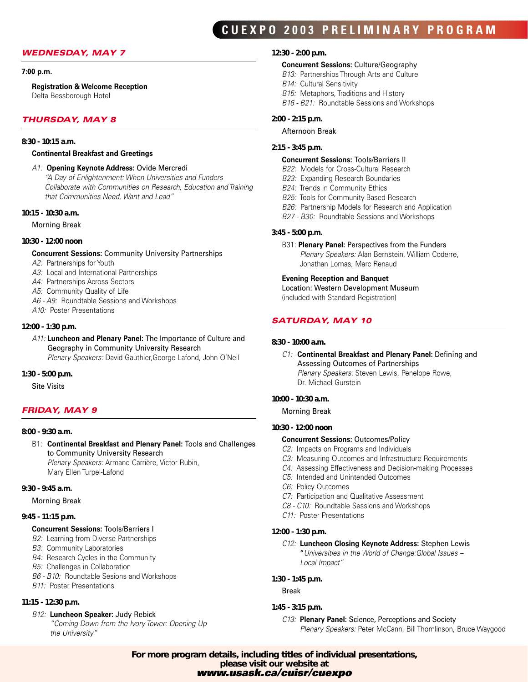## **CUEXPO 2003 PRELIMINARY PROGRAM**

#### *WEDNESDAY, MAY 7*

#### **7:00 p.m.**

#### **Registration & Welcome Reception**

Delta Bessborough Hotel

#### *THURSDAY, MAY 8*

#### *8:30 - 10:15 a.m.*

#### **Continental Breakfast and Greetings**

*A1:* **Opening Keynote Address:** Ovide Mercredi

*"A Day of Enlightenment: When Universities and Funders [Collaborate with Communities on Research, Education and Training](http://www.usask.ca/cuisr/cuexpo/CUExpoProgram.pdf) that Communities Need, Want and Lead"*

#### *10:15 - 10:30 a.m.*

Morning Break

#### *10:30 - 12:00 noon*

#### **Concurrent Sessions:** Community University Partnerships

- *A2:* Partnerships for Youth
- *A3:* Local and International Partnerships
- *A4:* Partnerships Across Sectors
- *A5:* Community Quality of Life
- *A6 A9:* Roundtable Sessions and Workshops
- *A10:* Poster Presentations

#### *12:00 - 1:30 p.m.*

*A11:* **Luncheon and Plenary Panel:** The Importance of Culture and Geography in Community University Research *Plenary Speakers:* David Gauthier,George Lafond, John O'Neil

#### *1:30 - 5:00 p.m.*

Site Visits

#### *FRIDAY, MAY 9*

#### *8:00 - 9:30 a.m.*

B1: **Continental Breakfast and Plenary Panel:** Tools and Challenges to Community University Research

*Plenary Speakers:* Armand Carrière, Victor Rubin, Mary Ellen Turpel-Lafond

#### *9:30 - 9:45 a.m.*

#### Morning Break

#### *9:45 - 11:15 p.m.*

#### **Concurrent Sessions:** Tools/Barriers I

- *B2:* Learning from Diverse Partnerships
- *B3:* Community Laboratories
- *B4:* Research Cycles in the Community
- *B5:* Challenges in Collaboration
- *B6 B10:* Roundtable Sesions and Workshops
- *B11:* Poster Presentations

#### *11:15 - 12:30 p.m.*

#### *B12:* **Luncheon Speaker:** Judy Rebick

*"Coming Down from the Ivory Tower: Opening Up the University"*

#### *12:30 - 2:00 p.m.*

- **Concurrent Sessions:** Culture/Geography
- *B13:* Partnerships Through Arts and Culture
- *B14:* Cultural Sensitivity
- *B15:* Metaphors, Traditions and History
- *B16 B21:* Roundtable Sessions and Workshops

#### *2:00 - 2:15 p.m.*

#### Afternoon Break

#### *2:15 - 3:45 p.m.*

#### **Concurrent Sessions:** Tools/Barriers II

- *B22:* Models for Cross-Cultural Research
- *B23:* Expanding Research Boundaries
- *B24:* Trends in Community Ethics
- *B25:* Tools for Community-Based Research
- *B26:* Partnership Models for Research and Application
- *B27 B30:* Roundtable Sessions and Workshops

#### *3:45 - 5:00 p.m.*

B31: **Plenary Panel:** Perspectives from the Funders *Plenary Speakers:* Alan Bernstein, William Coderre, Jonathan Lomas, Marc Renaud

#### **Evening Reception and Banquet**

Location: Western Development Museum (included with Standard Registration)

#### *SATURDAY, MAY 10*

#### *8:30 - 10:00 a.m.*

#### *C1:* **Continental Breakfast and Plenary Panel:** Defining and Assessing Outcomes of Partnerships *Plenary Speakers:* Steven Lewis, Penelope Rowe, Dr. Michael Gurstein

#### *10:00 - 10:30 a.m.*

Morning Break

#### *10:30 - 12:00 noon*

- **Concurrent Sessions:** Outcomes/Policy
- *C2:* Impacts on Programs and Individuals
- *C3:* Measuring Outcomes and Infrastructure Requirements
- *C4:* Assessing Effectiveness and Decision-making Processes
- *C5:* Intended and Unintended Outcomes
- *C6:* Policy Outcomes
- *C7:* Participation and Qualitative Assessment
- *C8 C10:* Roundtable Sessions and Workshops
- *C11:* Poster Presentations

#### *12:00 - 1:30 p.m.*

#### *C12:* **Luncheon Closing Keynote Address:** Stephen Lewis "*Universities in the World of Change:Global Issues – Local Impact"*

#### *1:30 - 1:45 p.m.*

Break

#### *1:45 - 3:15 p.m.*

#### *C13:* **Plenary Panel:** Science, Perceptions and Society

*Plenary Speakers:* Peter McCann, Bill Thomlinson, Bruce Waygood

*[For more program details, including titles of individual presentations,](http://www.usask.ca/cuisr/cuexpo/index.html) please visit our website at www.usask.ca/cuisr/cuexpo*